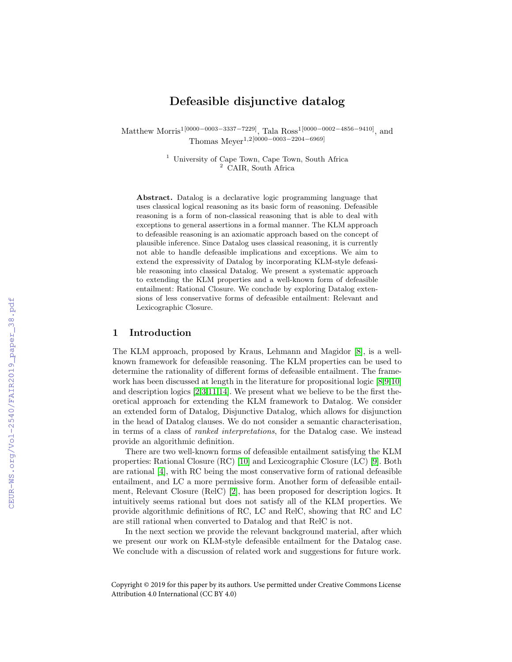# Defeasible disjunctive datalog

Matthew Morris<sup>1[0000–0003–3337–7229]</sup>, Tala Ross<sup>1[0000–0002–4856–9410]</sup>, and Thomas Meyer<sup>1</sup>,2[0000−0003−2204−6969]

> <sup>1</sup> University of Cape Town, Cape Town, South Africa <sup>2</sup> CAIR, South Africa

Abstract. Datalog is a declarative logic programming language that uses classical logical reasoning as its basic form of reasoning. Defeasible reasoning is a form of non-classical reasoning that is able to deal with exceptions to general assertions in a formal manner. The KLM approach to defeasible reasoning is an axiomatic approach based on the concept of plausible inference. Since Datalog uses classical reasoning, it is currently not able to handle defeasible implications and exceptions. We aim to extend the expressivity of Datalog by incorporating KLM-style defeasible reasoning into classical Datalog. We present a systematic approach to extending the KLM properties and a well-known form of defeasible entailment: Rational Closure. We conclude by exploring Datalog extensions of less conservative forms of defeasible entailment: Relevant and Lexicographic Closure.

# 1 Introduction

The KLM approach, proposed by Kraus, Lehmann and Magidor [\[8\]](#page--1-0), is a wellknown framework for defeasible reasoning. The KLM properties can be used to determine the rationality of different forms of defeasible entailment. The framework has been discussed at length in the literature for propositional logic [\[8,9,10\]](#page--1-0) and description logics [\[2,3,11,14\]](#page--1-0). We present what we believe to be the first theoretical approach for extending the KLM framework to Datalog. We consider an extended form of Datalog, Disjunctive Datalog, which allows for disjunction in the head of Datalog clauses. We do not consider a semantic characterisation, in terms of a class of ranked interpretations, for the Datalog case. We instead provide an algorithmic definition.

There are two well-known forms of defeasible entailment satisfying the KLM properties: Rational Closure (RC) [\[10\]](#page--1-0) and Lexicographic Closure (LC) [\[9\]](#page--1-0). Both are rational [\[4\]](#page--1-0), with RC being the most conservative form of rational defeasible entailment, and LC a more permissive form. Another form of defeasible entailment, Relevant Closure (RelC) [\[2\]](#page--1-0), has been proposed for description logics. It intuitively seems rational but does not satisfy all of the KLM properties. We provide algorithmic definitions of RC, LC and RelC, showing that RC and LC are still rational when converted to Datalog and that RelC is not.

In the next section we provide the relevant background material, after which we present our work on KLM-style defeasible entailment for the Datalog case. We conclude with a discussion of related work and suggestions for future work.

Copyright © 2019 for this paper by its authors. Use permitted under Creative Commons License Attribution 4.0 International (CC BY 4.0)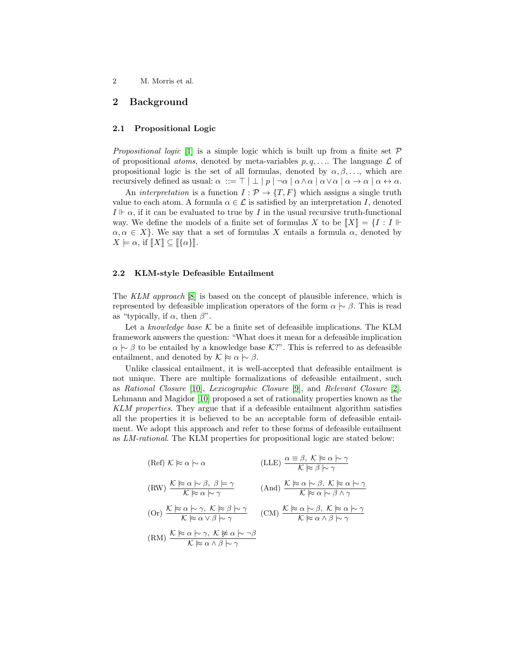# 2 Background

### 2.1 Propositional Logic

*Propositional logic* [\[1\]](#page-11-0) is a simple logic which is built up from a finite set  $P$ of propositional *atoms*, denoted by meta-variables  $p, q, \ldots$  The language  $\mathcal L$  of propositional logic is the set of all formulas, denoted by  $\alpha, \beta, \ldots$ , which are recursively defined as usual:  $\alpha := \top | \perp | p | \neg \alpha | \alpha \wedge \alpha | \alpha \vee \alpha | \alpha \rightarrow \alpha | \alpha \leftrightarrow \alpha$ .

An *interpretation* is a function  $I: \mathcal{P} \to \{T, F\}$  which assigns a single truth value to each atom. A formula  $\alpha \in \mathcal{L}$  is satisfied by an interpretation I, denoted  $I \vDash \alpha$ , if it can be evaluated to true by I in the usual recursive truth-functional way. We define the models of a finite set of formulas X to be  $||X|| = \{I : I \mid \vdash$  $\alpha, \alpha \in X$ . We say that a set of formulas X entails a formula  $\alpha$ , denoted by  $X \models \alpha$ , if  $\llbracket X \rrbracket \subseteq \llbracket {\alpha} \rrbracket.$ 

#### 2.2 KLM-style Defeasible Entailment

The KLM approach [\[8\]](#page-11-0) is based on the concept of plausible inference, which is represented by defeasible implication operators of the form  $\alpha \sim \beta$ . This is read as "typically, if  $\alpha$ , then  $\beta$ ".

Let a knowledge base  $K$  be a finite set of defeasible implications. The KLM framework answers the question: "What does it mean for a defeasible implication  $\alpha \sim \beta$  to be entailed by a knowledge base K?". This is referred to as defeasible entailment, and denoted by  $\mathcal{K} \approx \alpha \sim \beta$ .

Unlike classical entailment, it is well-accepted that defeasible entailment is not unique. There are multiple formalizations of defeasible entailment, such as Rational Closure [\[10\]](#page-11-0), Lexicographic Closure [\[9\]](#page-11-0), and Relevant Closure [\[2\]](#page-11-0). Lehmann and Magidor [\[10\]](#page-11-0) proposed a set of rationality properties known as the KLM properties. They argue that if a defeasible entailment algorithm satisfies all the properties it is believed to be an acceptable form of defeasible entailment. We adopt this approach and refer to these forms of defeasible entailment as LM-rational. The KLM properties for propositional logic are stated below:

(Ref) 
$$
K \approx \alpha \sim \alpha
$$
  
\n(LLE)  $\frac{\alpha \equiv \beta, K \approx \alpha \sim \gamma}{K \approx \beta \sim \gamma}$   
\n(RW)  $\frac{K \approx \alpha \sim \beta, \beta \models \gamma}{K \approx \alpha \sim \gamma}$   
\n(And)  $\frac{K \approx \alpha \sim \beta, K \approx \alpha \sim \gamma}{K \approx \alpha \sim \beta \land \gamma}$   
\n(Or)  $\frac{K \approx \alpha \sim \gamma, K \approx \beta \sim \gamma}{K \approx \alpha \lor \beta \sim \gamma}$   
\n(CM)  $\frac{K \approx \alpha \sim \beta, K \approx \alpha \sim \gamma}{K \approx \alpha \land \beta \sim \gamma}$   
\n(RM)  $\frac{K \approx \alpha \sim \gamma, K \not\approx \alpha \sim \neg \beta}{K \approx \alpha \land \beta \sim \gamma}$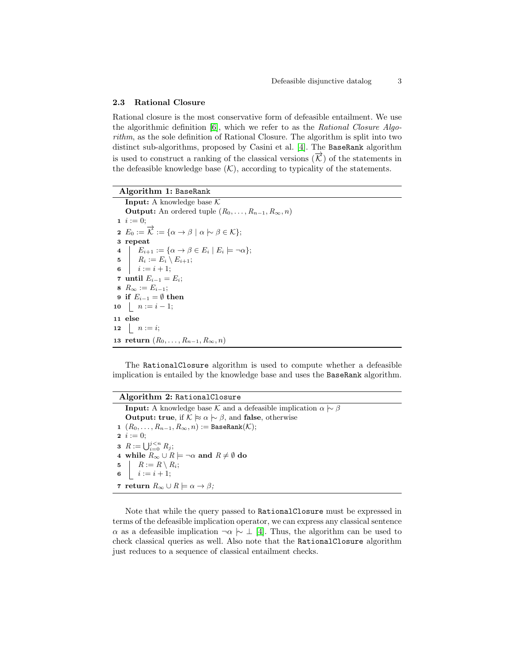### <span id="page-2-0"></span>2.3 Rational Closure

Rational closure is the most conservative form of defeasible entailment. We use the algorithmic definition  $[6]$ , which we refer to as the Rational Closure Algorithm, as the sole definition of Rational Closure. The algorithm is split into two distinct sub-algorithms, proposed by Casini et al. [\[4\]](#page-11-0). The BaseRank algorithm is used to construct a ranking of the classical versions  $(\overrightarrow{K})$  of the statements in the defeasible knowledge base  $(K)$ , according to typicality of the statements.

#### Algorithm 1: BaseRank

**Input:** A knowledge base  $K$ **Output:** An ordered tuple  $(R_0, \ldots, R_{n-1}, R_\infty, n)$ 1  $i := 0;$ 2  $E_0 := \overrightarrow{\mathcal{K}} := \{ \alpha \to \beta \mid \alpha \hspace{0.2em}\sim\hspace{-0.9em}\mid\hspace{0.58em} \beta \in \mathcal{K} \};$ 3 repeat 4  $\Big| \Big| E_{i+1} := \{ \alpha \to \beta \in E_i \mid E_i \models \neg \alpha \};$ 5  $R_i := E_i \setminus E_{i+1};$ 6  $i := i + 1;$ 7 until  $E_{i-1} = E_i$ ; 8  $R_{\infty} := E_{i-1};$ 9 if  $E_{i-1} = \emptyset$  then 10  $n := i - 1;$ 11 else 12  $n := i;$ 13 return  $(R_0, \ldots, R_{n-1}, R_{\infty}, n)$ 

The RationalClosure algorithm is used to compute whether a defeasible implication is entailed by the knowledge base and uses the BaseRank algorithm.

# Algorithm 2: RationalClosure

**Input:** A knowledge base K and a defeasible implication  $\alpha \sim \beta$ **Output: true**, if  $K \approx \alpha \sim \beta$ , and **false**, otherwise 1  $(R_0, \ldots, R_{n-1}, R_\infty, n) :=$  BaseRank $(\mathcal{K});$ 2  $i := 0;$ **3**  $R := \bigcup_{i=0}^{j \leq n} R_j;$ 4 while  $R_{\infty} \cup R \models \neg \alpha$  and  $R \neq \emptyset$  do 5  $\mid R := R \setminus R_i;$ 6  $i := i + 1;$ 7 return  $R_{\infty} \cup R \models \alpha \rightarrow \beta$ ;

Note that while the query passed to RationalClosure must be expressed in terms of the defeasible implication operator, we can express any classical sentence  $\alpha$  as a defeasible implication  $\neg \alpha \sim \bot$  [\[4\]](#page-11-0). Thus, the algorithm can be used to check classical queries as well. Also note that the RationalClosure algorithm just reduces to a sequence of classical entailment checks.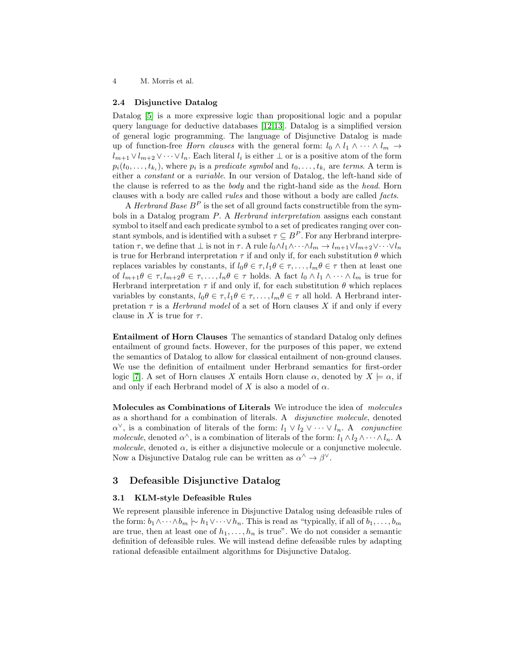#### 2.4 Disjunctive Datalog

Datalog [\[5\]](#page-11-0) is a more expressive logic than propositional logic and a popular query language for deductive databases [\[12,13\]](#page-11-0). Datalog is a simplified version of general logic programming. The language of Disjunctive Datalog is made up of function-free Horn clauses with the general form:  $l_0 \wedge l_1 \wedge \cdots \wedge l_m \rightarrow$  $l_{m+1} \vee l_{m+2} \vee \cdots \vee l_n$ . Each literal  $l_i$  is either  $\perp$  or is a positive atom of the form  $p_i(t_0,...,t_{k_i})$ , where  $p_i$  is a *predicate symbol* and  $t_0,...,t_{k_i}$  are *terms*. A term is either a constant or a variable. In our version of Datalog, the left-hand side of the clause is referred to as the body and the right-hand side as the head. Horn clauses with a body are called rules and those without a body are called facts.

A *Herbrand Base*  $B^P$  is the set of all ground facts constructible from the symbols in a Datalog program P. A Herbrand interpretation assigns each constant symbol to itself and each predicate symbol to a set of predicates ranging over constant symbols, and is identified with a subset  $\tau \subseteq B^P$ . For any Herbrand interpretation  $\tau$ , we define that  $\bot$  is not in  $\tau$ . A rule  $l_0 \wedge l_1 \wedge \cdots \wedge l_m \to l_{m+1} \vee l_{m+2} \vee \cdots \vee l_n$ is true for Herbrand interpretation  $\tau$  if and only if, for each substitution  $\theta$  which replaces variables by constants, if  $l_0\theta \in \tau, l_1\theta \in \tau, \ldots, l_m\theta \in \tau$  then at least one of  $l_{m+1}\theta \in \tau, l_{m+2}\theta \in \tau, \ldots, l_n\theta \in \tau$  holds. A fact  $l_0 \wedge l_1 \wedge \cdots \wedge l_m$  is true for Herbrand interpretation  $\tau$  if and only if, for each substitution  $\theta$  which replaces variables by constants,  $l_0 \theta \in \tau, l_1 \theta \in \tau, \ldots, l_m \theta \in \tau$  all hold. A Herbrand interpretation  $\tau$  is a *Herbrand model* of a set of Horn clauses X if and only if every clause in X is true for  $\tau$ .

Entailment of Horn Clauses The semantics of standard Datalog only defines entailment of ground facts. However, for the purposes of this paper, we extend the semantics of Datalog to allow for classical entailment of non-ground clauses. We use the definition of entailment under Herbrand semantics for first-order logic [\[7\]](#page-11-0). A set of Horn clauses X entails Horn clause  $\alpha$ , denoted by  $X \models \alpha$ , if and only if each Herbrand model of X is also a model of  $\alpha$ .

Molecules as Combinations of Literals We introduce the idea of molecules as a shorthand for a combination of literals. A disjunctive molecule, denoted  $\alpha^{\vee}$ , is a combination of literals of the form:  $l_1 \vee l_2 \vee \cdots \vee l_n$ . A conjunctive molecule, denoted  $\alpha^{\wedge}$ , is a combination of literals of the form:  $l_1 \wedge l_2 \wedge \cdots \wedge l_n$ . A molecule, denoted  $\alpha$ , is either a disjunctive molecule or a conjunctive molecule. Now a Disjunctive Datalog rule can be written as  $\alpha^{\wedge} \to \beta^{\vee}$ .

# 3 Defeasible Disjunctive Datalog

### 3.1 KLM-style Defeasible Rules

We represent plausible inference in Disjunctive Datalog using defeasible rules of the form:  $b_1 \wedge \cdots \wedge b_m \wedge h_1 \vee \cdots \vee h_n$ . This is read as "typically, if all of  $b_1, \ldots, b_m$ are true, then at least one of  $h_1, \ldots, h_n$  is true". We do not consider a semantic definition of defeasible rules. We will instead define defeasible rules by adapting rational defeasible entailment algorithms for Disjunctive Datalog.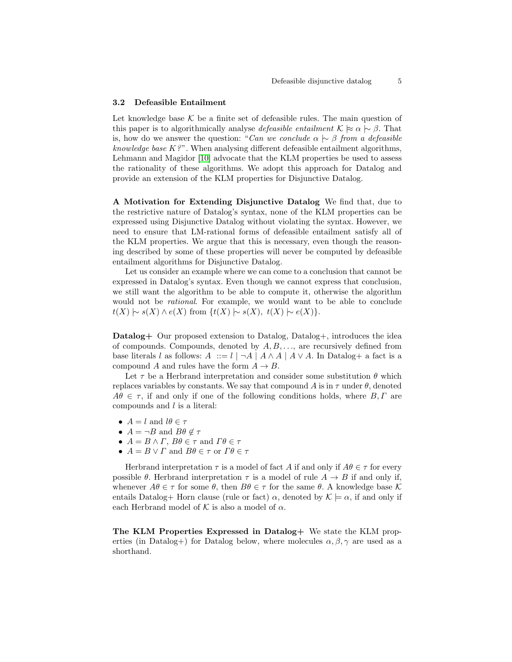#### 3.2 Defeasible Entailment

Let knowledge base  $K$  be a finite set of defeasible rules. The main question of this paper is to algorithmically analyse *defeasible entailment*  $\mathcal{K} \approx \alpha \sim \beta$ . That is, how do we answer the question: "Can we conclude  $\alpha \sim \beta$  from a defeasible knowledge base  $K$ ?". When analysing different defeasible entailment algorithms, Lehmann and Magidor [\[10\]](#page-11-0) advocate that the KLM properties be used to assess the rationality of these algorithms. We adopt this approach for Datalog and provide an extension of the KLM properties for Disjunctive Datalog.

A Motivation for Extending Disjunctive Datalog We find that, due to the restrictive nature of Datalog's syntax, none of the KLM properties can be expressed using Disjunctive Datalog without violating the syntax. However, we need to ensure that LM-rational forms of defeasible entailment satisfy all of the KLM properties. We argue that this is necessary, even though the reasoning described by some of these properties will never be computed by defeasible entailment algorithms for Disjunctive Datalog.

Let us consider an example where we can come to a conclusion that cannot be expressed in Datalog's syntax. Even though we cannot express that conclusion, we still want the algorithm to be able to compute it, otherwise the algorithm would not be rational. For example, we would want to be able to conclude  $t(X) \sim s(X) \wedge e(X)$  from  $\{t(X) \sim s(X), t(X) \sim e(X)\}.$ 

Datalog+ Our proposed extension to Datalog, Datalog+, introduces the idea of compounds. Compounds, denoted by  $A, B, \ldots$ , are recursively defined from base literals l as follows:  $A ::= l \mid \neg A \mid A \wedge A \mid A \vee A$ . In Datalog+ a fact is a compound A and rules have the form  $A \rightarrow B$ .

Let  $\tau$  be a Herbrand interpretation and consider some substitution  $\theta$  which replaces variables by constants. We say that compound A is in  $\tau$  under  $\theta$ , denoted  $A\theta \in \tau$ , if and only if one of the following conditions holds, where  $B, \Gamma$  are compounds and l is a literal:

- $A = l$  and  $l\theta \in \tau$
- $A = \neg B$  and  $B\theta \notin \tau$
- $A = B \wedge \Gamma$ ,  $B\theta \in \tau$  and  $\Gamma\theta \in \tau$
- $A = B \vee \Gamma$  and  $B\theta \in \tau$  or  $\Gamma \theta \in \tau$

Herbrand interpretation  $\tau$  is a model of fact A if and only if  $A\theta \in \tau$  for every possible  $\theta$ . Herbrand interpretation  $\tau$  is a model of rule  $A \rightarrow B$  if and only if, whenever  $A\theta \in \tau$  for some  $\theta$ , then  $B\theta \in \tau$  for the same  $\theta$ . A knowledge base K entails Datalog+ Horn clause (rule or fact)  $\alpha$ , denoted by  $\mathcal{K} \models \alpha$ , if and only if each Herbrand model of  $K$  is also a model of  $\alpha$ .

The KLM Properties Expressed in Datalog+ We state the KLM properties (in Datalog+) for Datalog below, where molecules  $\alpha, \beta, \gamma$  are used as a shorthand.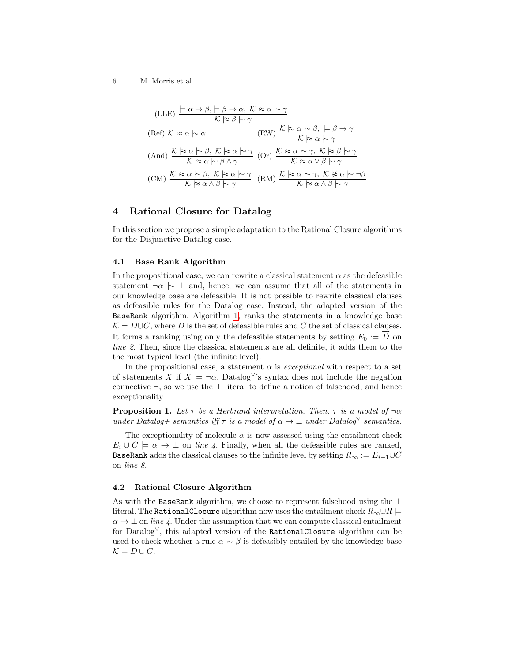$$
(LLE) \frac{\models \alpha \to \beta, \models \beta \to \alpha, \ K \approx \alpha \vdash \gamma}{} \times \beta \Rightarrow \alpha \vdash \gamma
$$
\n
$$
(Ref) \ K \approx \alpha \vdash \alpha \qquad (RW) \ \frac{\mathcal{K} \approx \alpha \vdash \beta, \ \models \beta \to \gamma}{} \times \beta \Rightarrow \gamma
$$
\n
$$
(And) \ \frac{\mathcal{K} \approx \alpha \vdash \beta, \ K \approx \alpha \vdash \gamma}{} \times \beta \land \gamma \qquad (Or) \ \frac{\mathcal{K} \approx \alpha \vdash \gamma, \ K \approx \beta \vdash \gamma}{} \times \beta \Rightarrow \gamma \qquad (CM) \ \frac{\mathcal{K} \approx \alpha \vdash \beta, \ K \approx \alpha \vdash \gamma}{} \times \beta \Rightarrow \gamma \qquad (RM) \ \frac{\mathcal{K} \approx \alpha \vdash \beta, \ K \approx \alpha \vdash \gamma}{} \times \beta \Rightarrow \alpha \land \beta \vdash \gamma}
$$

# 4 Rational Closure for Datalog

In this section we propose a simple adaptation to the Rational Closure algorithms for the Disjunctive Datalog case.

### 4.1 Base Rank Algorithm

In the propositional case, we can rewrite a classical statement  $\alpha$  as the defeasible statement  $\neg \alpha \sim \bot$  and, hence, we can assume that all of the statements in our knowledge base are defeasible. It is not possible to rewrite classical clauses as defeasible rules for the Datalog case. Instead, the adapted version of the BaseRank algorithm, Algorithm [1,](#page-2-0) ranks the statements in a knowledge base  $\mathcal{K} = D \cup C$ , where D is the set of defeasible rules and C the set of classical clauses. It forms a ranking using only the defeasible statements by setting  $E_0 := \overrightarrow{D}$  on line 2. Then, since the classical statements are all definite, it adds them to the the most typical level (the infinite level).

In the propositional case, a statement  $\alpha$  is *exceptional* with respect to a set of statements X if  $X \models \neg \alpha$ . Datalog<sup>\'</sup>'s syntax does not include the negation connective  $\neg$ , so we use the  $\bot$  literal to define a notion of falsehood, and hence exceptionality.

**Proposition 1.** Let  $\tau$  be a Herbrand interpretation. Then,  $\tau$  is a model of  $\neg \alpha$ under Datalog+ semantics iff  $\tau$  is a model of  $\alpha \to \bot$  under Datalog<sup> $\vee$ </sup> semantics.

The exceptionality of molecule  $\alpha$  is now assessed using the entailment check  $E_i \cup C \models \alpha \rightarrow \bot$  on line 4. Finally, when all the defeasible rules are ranked, BaseRank adds the classical clauses to the infinite level by setting  $R_{\infty} := E_{i-1} \cup C$ on line 8.

# 4.2 Rational Closure Algorithm

As with the BaseRank algorithm, we choose to represent falsehood using the ⊥ literal. The RationalClosure algorithm now uses the entailment check  $R_{\infty} \cup R$  $\alpha \to \perp$  on line 4. Under the assumption that we can compute classical entailment for Datalog<sup>∨</sup>, this adapted version of the RationalClosure algorithm can be used to check whether a rule  $\alpha \sim \beta$  is defeasibly entailed by the knowledge base  $\mathcal{K} = D \cup C.$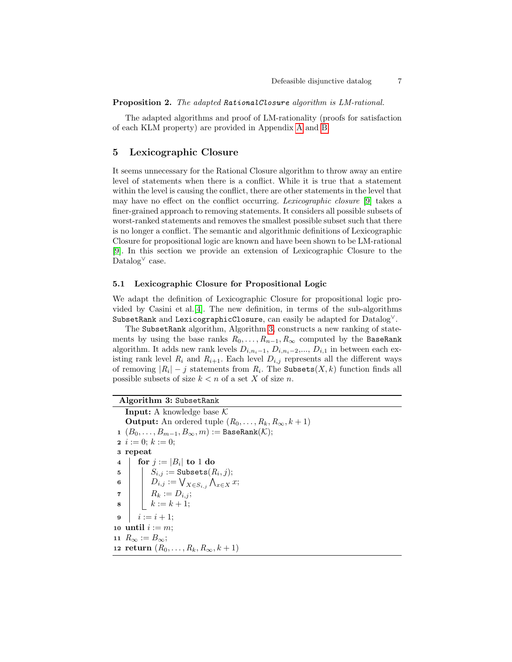<span id="page-6-0"></span>Proposition 2. The adapted RationalClosure algorithm is LM-rational.

The adapted algorithms and proof of LM-rationality (proofs for satisfaction of each KLM property) are provided in Appendix A and B.

# 5 Lexicographic Closure

It seems unnecessary for the Rational Closure algorithm to throw away an entire level of statements when there is a conflict. While it is true that a statement within the level is causing the conflict, there are other statements in the level that may have no effect on the conflict occurring. Lexicographic closure [\[9\]](#page-11-0) takes a finer-grained approach to removing statements. It considers all possible subsets of worst-ranked statements and removes the smallest possible subset such that there is no longer a conflict. The semantic and algorithmic definitions of Lexicographic Closure for propositional logic are known and have been shown to be LM-rational [\[9\]](#page-11-0). In this section we provide an extension of Lexicographic Closure to the Datalog<sup>∨</sup> case.

## 5.1 Lexicographic Closure for Propositional Logic

We adapt the definition of Lexicographic Closure for propositional logic provided by Casini et al.[\[4\]](#page-11-0). The new definition, in terms of the sub-algorithms SubsetRank and LexicographicClosure, can easily be adapted for  $\text{Database}^{\vee}$ .

The SubsetRank algorithm, Algorithm 3, constructs a new ranking of statements by using the base ranks  $R_0, \ldots, R_{n-1}, R_\infty$  computed by the BaseRank algorithm. It adds new rank levels  $D_{i,n_{i}-1}, D_{i,n_{i}-2},..., D_{i,1}$  in between each existing rank level  $R_i$  and  $R_{i+1}$ . Each level  $D_{i,j}$  represents all the different ways of removing  $|R_i| - j$  statements from  $R_i$ . The Subsets $(X, k)$  function finds all possible subsets of size  $k < n$  of a set X of size n.

Algorithm 3: SubsetRank **Input:** A knowledge base  $K$ **Output:** An ordered tuple  $(R_0, \ldots, R_k, R_\infty, k+1)$ 1  $(B_0, \ldots, B_{m-1}, B_{\infty}, m) :=$  BaseRank $(\mathcal{K});$ 2  $i := 0; k := 0;$ <sup>3</sup> repeat  $\mathtt{4} \quad | \quad \text{for} \; j := |B_i| \; \mathtt{to} \; 1 \; \mathtt{do}$  $\quad \, \mathsf{s} \quad | \quad \, | \quad S_{i,j} := \mathtt{Subsets}(R_i,j);$  $\begin{array}{ccc} \mathbf{6} & | & | & D_{i,j} := \bigvee_{X \in S_{i,j}} \bigwedge_{x \in X} x; \end{array}$  $\begin{array}{ccc} \mathbf{7} & | & | & R_k := D_{i,j}; \end{array}$  $8 \mid k := k + 1;$ 9  $i := i + 1$ ; 10 until  $i := m$ ; 11  $R_{\infty} := B_{\infty};$ 12 return  $(R_0, ..., R_k, R_{\infty}, k + 1)$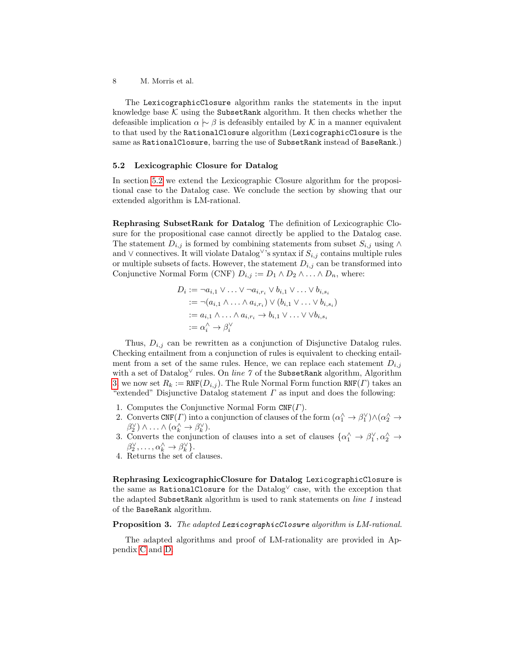The LexicographicClosure algorithm ranks the statements in the input knowledge base  $K$  using the SubsetRank algorithm. It then checks whether the defeasible implication  $\alpha \sim \beta$  is defeasibly entailed by K in a manner equivalent to that used by the RationalClosure algorithm (LexicographicClosure is the same as RationalClosure, barring the use of SubsetRank instead of BaseRank.)

### 5.2 Lexicographic Closure for Datalog

In section 5.2 we extend the Lexicographic Closure algorithm for the propositional case to the Datalog case. We conclude the section by showing that our extended algorithm is LM-rational.

Rephrasing SubsetRank for Datalog The definition of Lexicographic Closure for the propositional case cannot directly be applied to the Datalog case. The statement  $D_{i,j}$  is formed by combining statements from subset  $S_{i,j}$  using ∧ and  $\vee$  connectives. It will violate Datalog<sup> $\vee$ </sup>'s syntax if  $S_{i,j}$  contains multiple rules or multiple subsets of facts. However, the statement  $D_{i,j}$  can be transformed into Conjunctive Normal Form (CNF)  $D_{i,j} := D_1 \wedge D_2 \wedge \ldots \wedge D_n$ , where:

$$
D_i := \neg a_{i,1} \lor \dots \lor \neg a_{i,r_i} \lor b_{i,1} \lor \dots \lor b_{i,s_i}
$$
  
:= 
$$
\neg (a_{i,1} \land \dots \land a_{i,r_i}) \lor (b_{i,1} \lor \dots \lor b_{i,s_i})
$$
  
:= 
$$
a_{i,1} \land \dots \land a_{i,r_i} \to b_{i,1} \lor \dots \lor \lor b_{i,s_i}
$$
  
:= 
$$
\alpha_i^{\land} \to \beta_i^{\lor}
$$

Thus,  $D_{i,j}$  can be rewritten as a conjunction of Disjunctive Datalog rules. Checking entailment from a conjunction of rules is equivalent to checking entailment from a set of the same rules. Hence, we can replace each statement  $D_{i,j}$ with a set of Datalog<sup> $\vee$ </sup> rules. On *line* 7 of the SubsetRank algorithm, Algorithm [3,](#page-6-0) we now set  $R_k := \text{RNF}(D_{i,j})$ . The Rule Normal Form function  $\text{RNF}(T)$  takes an "extended" Disjunctive Datalog statement  $\Gamma$  as input and does the following:

- 1. Computes the Conjunctive Normal Form  $CNF(\Gamma)$ .
- 2. Converts CNF(*Γ*) into a conjunction of clauses of the form  $(\alpha_1^{\wedge} \to \beta_1^{\vee}) \wedge (\alpha_2^{\wedge} \to$  $\beta_2^{\vee}$ )  $\wedge \ldots \wedge (\alpha_k^{\wedge} \rightarrow \beta_k^{\vee}).$
- 3. Converts the conjunction of clauses into a set of clauses  $\{\alpha_1^{\wedge} \to \beta_1^{\vee}, \alpha_2^{\wedge} \to \alpha_3^{\vee}\}$  $\beta_2^{\vee}, \ldots, \alpha_k^{\wedge} \to \beta_k^{\vee}$ .
- 4. Returns the set of clauses.

Rephrasing LexicographicClosure for Datalog LexicographicClosure is the same as RationalClosure for the Datalog<sup> $\vee$ </sup> case, with the exception that the adapted SubsetRank algorithm is used to rank statements on line 1 instead of the BaseRank algorithm.

## Proposition 3. The adapted LexicographicClosure algorithm is LM-rational.

The adapted algorithms and proof of LM-rationality are provided in Appendix C and D.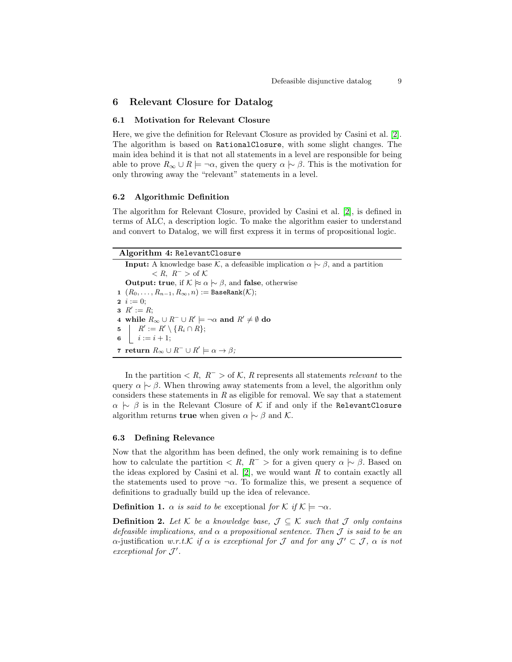# 6 Relevant Closure for Datalog

### 6.1 Motivation for Relevant Closure

Here, we give the definition for Relevant Closure as provided by Casini et al. [\[2\]](#page-11-0). The algorithm is based on RationalClosure, with some slight changes. The main idea behind it is that not all statements in a level are responsible for being able to prove  $R_{\infty} \cup R \models \neg \alpha$ , given the query  $\alpha \sim \beta$ . This is the motivation for only throwing away the "relevant" statements in a level.

### 6.2 Algorithmic Definition

The algorithm for Relevant Closure, provided by Casini et al. [\[2\]](#page-11-0), is defined in terms of ALC, a description logic. To make the algorithm easier to understand and convert to Datalog, we will first express it in terms of propositional logic.

## Algorithm 4: RelevantClosure

**Input:** A knowledge base K, a defeasible implication  $\alpha \sim \beta$ , and a partition  $< R, R^- >$  of  $K$ **Output: true**, if  $K \approx \alpha \sim \beta$ , and **false**, otherwise 1  $(R_0, \ldots, R_{n-1}, R_\infty, n) :=$  BaseRank $(\mathcal{K});$ 2  $i := 0$ ; 3  $R' := R;$ 4 while  $R_{\infty} \cup R^{-} \cup R' \models \neg \alpha$  and  $R' \neq \emptyset$  do 5  $\mid R' := R' \setminus \{R_i \cap R\};$ 6  $i := i + 1;$ 7 return  $R_{\infty} \cup R^{-} \cup R' \models \alpha \rightarrow \beta;$ 

In the partition  $\langle R, R^{-} \rangle$  of K, R represents all statements relevant to the query  $\alpha \sim \beta$ . When throwing away statements from a level, the algorithm only considers these statements in  $R$  as eligible for removal. We say that a statement  $\alpha \sim \beta$  is in the Relevant Closure of K if and only if the RelevantClosure algorithm returns **true** when given  $\alpha \sim \beta$  and K.

### 6.3 Defining Relevance

Now that the algorithm has been defined, the only work remaining is to define how to calculate the partition  $\langle R, R^{-} \rangle$  for a given query  $\alpha \sim \beta$ . Based on the ideas explored by Casini et al.  $[2]$ , we would want R to contain exactly all the statements used to prove  $\neg \alpha$ . To formalize this, we present a sequence of definitions to gradually build up the idea of relevance.

**Definition 1.**  $\alpha$  is said to be exceptional for K if  $K \models \neg \alpha$ .

**Definition 2.** Let  $K$  be a knowledge base,  $\mathcal{J} \subseteq K$  such that  $\mathcal{J}$  only contains defeasible implications, and  $\alpha$  a propositional sentence. Then J is said to be an  $\alpha$ -justification w.r.t.K if  $\alpha$  is exceptional for J and for any  $\mathcal{J}' \subset \mathcal{J}$ ,  $\alpha$  is not exceptional for  $\mathcal{J}'$ .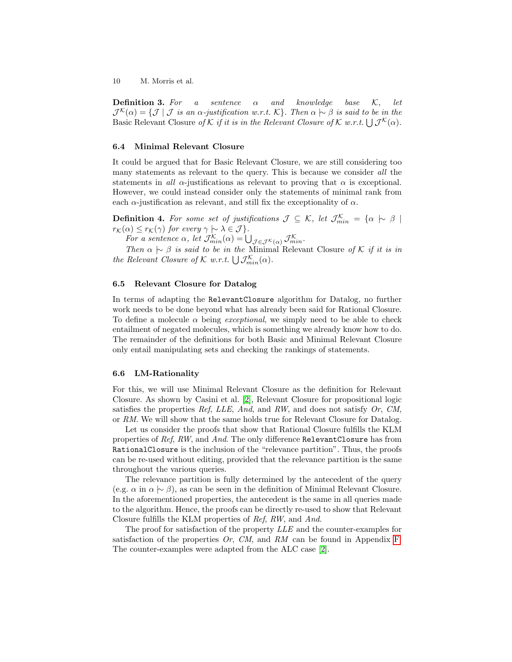**Definition 3.** For a sentence  $\alpha$  and knowledge base K, let  $\mathcal{J}^{\mathcal{K}}(\alpha) = \{ \mathcal{J} \mid \mathcal{J} \text{ is an } \alpha\text{-}\text{}\}$  justification w.r.t. K}. Then  $\alpha \sim \beta$  is said to be in the Basic Relevant Closure of K if it is in the Relevant Closure of K w.r.t.  $\bigcup \mathcal{J}^{\mathcal{K}}(\alpha)$ .

### 6.4 Minimal Relevant Closure

It could be argued that for Basic Relevant Closure, we are still considering too many statements as relevant to the query. This is because we consider all the statements in all  $\alpha$ -justifications as relevant to proving that  $\alpha$  is exceptional. However, we could instead consider only the statements of minimal rank from each  $\alpha$ -justification as relevant, and still fix the exceptionality of  $\alpha$ .

**Definition 4.** For some set of justifications  $\mathcal{J} \subseteq \mathcal{K}$ , let  $\mathcal{J}_{min}^{\mathcal{K}} = {\alpha \succ \beta \mid \mathcal{J}_{min}^{\mathcal{K}}}$  $r_{\mathcal{K}}(\alpha) \leq r_{\mathcal{K}}(\gamma)$  for every  $\gamma \sim \lambda \in \mathcal{J}$ .

For a sentence  $\alpha$ , let  $\mathcal{J}_{min}^{\mathcal{K}}(\alpha) = \bigcup_{\mathcal{J} \in \mathcal{J}^{\mathcal{K}}(\alpha)} \mathcal{J}_{min}^{\mathcal{K}}$ .

Then  $\alpha \hspace{0.2em}\sim\hspace{0.9em}\mid\hspace{0.58em} \beta$  is said to be in the Minimal Relevant Closure of K if it is in the Relevant Closure of  $K$  w.r.t.  $\bigcup \mathcal{J}_{min}^{\mathcal{K}}(\alpha)$ .

#### 6.5 Relevant Closure for Datalog

In terms of adapting the RelevantClosure algorithm for Datalog, no further work needs to be done beyond what has already been said for Rational Closure. To define a molecule  $\alpha$  being *exceptional*, we simply need to be able to check entailment of negated molecules, which is something we already know how to do. The remainder of the definitions for both Basic and Minimal Relevant Closure only entail manipulating sets and checking the rankings of statements.

#### 6.6 LM-Rationality

For this, we will use Minimal Relevant Closure as the definition for Relevant Closure. As shown by Casini et al. [\[2\]](#page-11-0), Relevant Closure for propositional logic satisfies the properties Ref, LLE, And, and RW, and does not satisfy  $Or$ ,  $CM$ , or RM. We will show that the same holds true for Relevant Closure for Datalog.

Let us consider the proofs that show that Rational Closure fulfills the KLM properties of Ref, RW, and And. The only difference RelevantClosure has from RationalClosure is the inclusion of the "relevance partition". Thus, the proofs can be re-used without editing, provided that the relevance partition is the same throughout the various queries.

The relevance partition is fully determined by the antecedent of the query (e.g.  $\alpha$  in  $\alpha \sim \beta$ ), as can be seen in the definition of Minimal Relevant Closure. In the aforementioned properties, the antecedent is the same in all queries made to the algorithm. Hence, the proofs can be directly re-used to show that Relevant Closure fulfills the KLM properties of Ref, RW, and And.

The proof for satisfaction of the property LLE and the counter-examples for satisfaction of the properties  $Or$ ,  $CM$ , and RM can be found in Appendix F. The counter-examples were adapted from the ALC case [\[2\]](#page-11-0).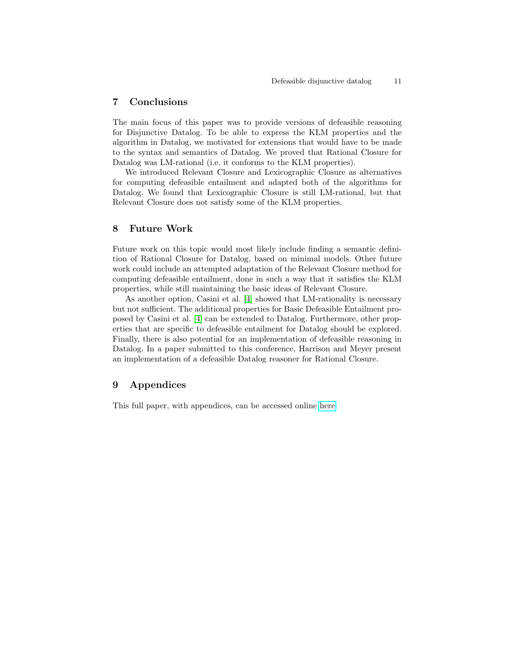# 7 Conclusions

The main focus of this paper was to provide versions of defeasible reasoning for Disjunctive Datalog. To be able to express the KLM properties and the algorithm in Datalog, we motivated for extensions that would have to be made to the syntax and semantics of Datalog. We proved that Rational Closure for Datalog was LM-rational (i.e. it conforms to the KLM properties).

We introduced Relevant Closure and Lexicographic Closure as alternatives for computing defeasible entailment and adapted both of the algorithms for Datalog. We found that Lexicographic Closure is still LM-rational, but that Relevant Closure does not satisfy some of the KLM properties.

# 8 Future Work

Future work on this topic would most likely include finding a semantic definition of Rational Closure for Datalog, based on minimal models. Other future work could include an attempted adaptation of the Relevant Closure method for computing defeasible entailment, done in such a way that it satisfies the KLM properties, while still maintaining the basic ideas of Relevant Closure.

As another option, Casini et al. [\[4\]](#page-11-0) showed that LM-rationality is necessary but not sufficient. The additional properties for Basic Defeasible Entailment proposed by Casini et al. [\[4\]](#page-11-0) can be extended to Datalog. Furthermore, other properties that are specific to defeasible entailment for Datalog should be explored. Finally, there is also potential for an implementation of defeasible reasoning in Datalog. In a paper submitted to this conference, Harrison and Meyer present an implementation of a defeasible Datalog reasoner for Rational Closure.

# 9 Appendices

This full paper, with appendices, can be accessed online [here.](https://drive.google.com/file/d/1UQqb65j-fs3VgV-uMKifMMNN6n8JGjb6/view?usp=sharing)